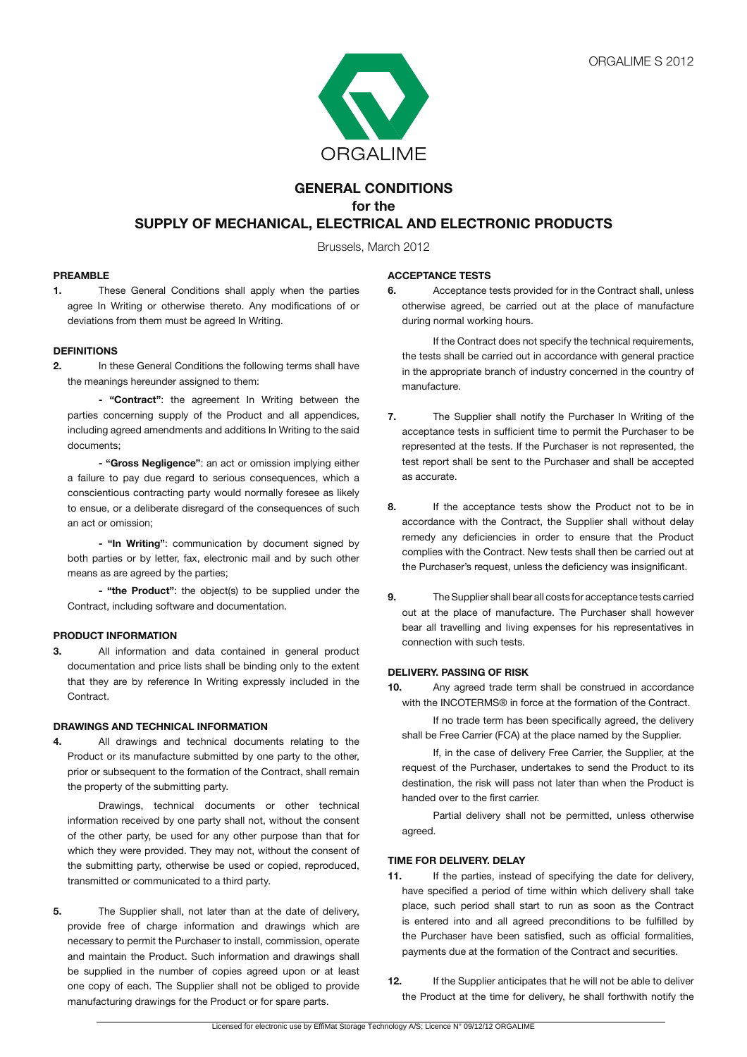

# **GENERAL CONDITIONS for the SUPPLY OF MECHANICAL, ELECTRICAL AND ELECTRONIC PRODUCTS**

Brussels, March 2012

### **PREAMBLE**

**1.** These General Conditions shall apply when the parties agree In Writing or otherwise thereto. Any modifications of or deviations from them must be agreed In Writing.

#### **DEFINITIONS**

**2.** In these General Conditions the following terms shall have the meanings hereunder assigned to them:

**- "Contract"**: the agreement In Writing between the parties concerning supply of the Product and all appendices, including agreed amendments and additions In Writing to the said documents;

**- "Gross Negligence"**: an act or omission implying either a failure to pay due regard to serious consequences, which a conscientious contracting party would normally foresee as likely to ensue, or a deliberate disregard of the consequences of such an act or omission;

 **- "In Writing"**: communication by document signed by both parties or by letter, fax, electronic mail and by such other means as are agreed by the parties;

**- "the Product"**: the object(s) to be supplied under the Contract, including software and documentation.

### **PRODUCT INFORMATION**

**3.** All information and data contained in general product documentation and price lists shall be binding only to the extent that they are by reference In Writing expressly included in the Contract.

### **DRAWINGS AND TECHNICAL INFORMATION**

**4.** All drawings and technical documents relating to the Product or its manufacture submitted by one party to the other, prior or subsequent to the formation of the Contract, shall remain the property of the submitting party.

 Drawings, technical documents or other technical information received by one party shall not, without the consent of the other party, be used for any other purpose than that for which they were provided. They may not, without the consent of the submitting party, otherwise be used or copied, reproduced, transmitted or communicated to a third party.

**5.** The Supplier shall, not later than at the date of delivery, provide free of charge information and drawings which are necessary to permit the Purchaser to install, commission, operate and maintain the Product. Such information and drawings shall be supplied in the number of copies agreed upon or at least one copy of each. The Supplier shall not be obliged to provide manufacturing drawings for the Product or for spare parts.

### **ACCEPTANCE TESTS**

**6.** Acceptance tests provided for in the Contract shall, unless otherwise agreed, be carried out at the place of manufacture during normal working hours.

 If the Contract does not specify the technical requirements, the tests shall be carried out in accordance with general practice in the appropriate branch of industry concerned in the country of manufacture.

- **7.** The Supplier shall notify the Purchaser In Writing of the acceptance tests in sufficient time to permit the Purchaser to be represented at the tests. If the Purchaser is not represented, the test report shall be sent to the Purchaser and shall be accepted as accurate.
- **8.** If the acceptance tests show the Product not to be in accordance with the Contract, the Supplier shall without delay remedy any deficiencies in order to ensure that the Product complies with the Contract. New tests shall then be carried out at the Purchaser's request, unless the deficiency was insignificant.
- **9.** The Supplier shall bear all costs for acceptance tests carried out at the place of manufacture. The Purchaser shall however bear all travelling and living expenses for his representatives in connection with such tests.

### **DELIVERY. PASSING OF RISK**

**10.** Any agreed trade term shall be construed in accordance with the INCOTERMS® in force at the formation of the Contract.

 If no trade term has been specifically agreed, the delivery shall be Free Carrier (FCA) at the place named by the Supplier.

 If, in the case of delivery Free Carrier, the Supplier, at the request of the Purchaser, undertakes to send the Product to its destination, the risk will pass not later than when the Product is handed over to the first carrier.

 Partial delivery shall not be permitted, unless otherwise agreed.

## **TIME FOR DELIVERY. DELAY**

- **11.** If the parties, instead of specifying the date for delivery, have specified a period of time within which delivery shall take place, such period shall start to run as soon as the Contract is entered into and all agreed preconditions to be fulfilled by the Purchaser have been satisfied, such as official formalities, payments due at the formation of the Contract and securities.
- **12.** If the Supplier anticipates that he will not be able to deliver the Product at the time for delivery, he shall forthwith notify the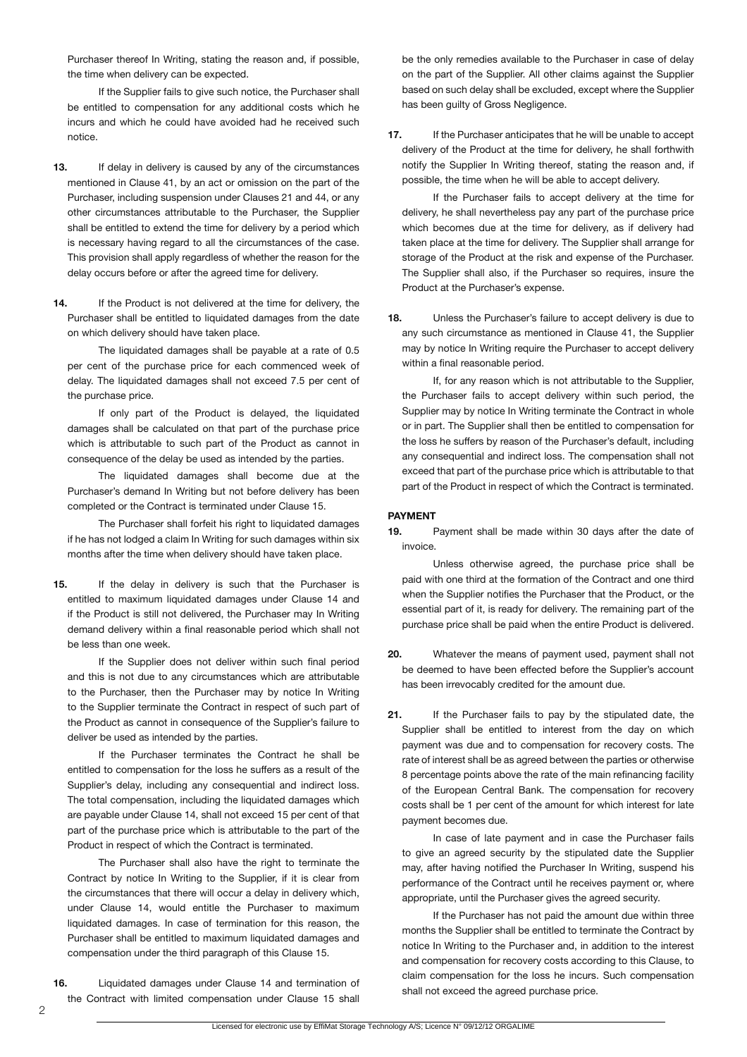Purchaser thereof In Writing, stating the reason and, if possible, the time when delivery can be expected.

 If the Supplier fails to give such notice, the Purchaser shall be entitled to compensation for any additional costs which he incurs and which he could have avoided had he received such notice.

- **13.** If delay in delivery is caused by any of the circumstances mentioned in Clause 41, by an act or omission on the part of the Purchaser, including suspension under Clauses 21 and 44, or any other circumstances attributable to the Purchaser, the Supplier shall be entitled to extend the time for delivery by a period which is necessary having regard to all the circumstances of the case. This provision shall apply regardless of whether the reason for the delay occurs before or after the agreed time for delivery.
- 14. If the Product is not delivered at the time for delivery, the Purchaser shall be entitled to liquidated damages from the date on which delivery should have taken place.

 The liquidated damages shall be payable at a rate of 0.5 per cent of the purchase price for each commenced week of delay. The liquidated damages shall not exceed 7.5 per cent of the purchase price.

 If only part of the Product is delayed, the liquidated damages shall be calculated on that part of the purchase price which is attributable to such part of the Product as cannot in consequence of the delay be used as intended by the parties.

 The liquidated damages shall become due at the Purchaser's demand In Writing but not before delivery has been completed or the Contract is terminated under Clause 15.

 The Purchaser shall forfeit his right to liquidated damages if he has not lodged a claim In Writing for such damages within six months after the time when delivery should have taken place.

**15.** If the delay in delivery is such that the Purchaser is entitled to maximum liquidated damages under Clause 14 and if the Product is still not delivered, the Purchaser may In Writing demand delivery within a final reasonable period which shall not be less than one week.

 If the Supplier does not deliver within such final period and this is not due to any circumstances which are attributable to the Purchaser, then the Purchaser may by notice In Writing to the Supplier terminate the Contract in respect of such part of the Product as cannot in consequence of the Supplier's failure to deliver be used as intended by the parties.

 If the Purchaser terminates the Contract he shall be entitled to compensation for the loss he suffers as a result of the Supplier's delay, including any consequential and indirect loss. The total compensation, including the liquidated damages which are payable under Clause 14, shall not exceed 15 per cent of that part of the purchase price which is attributable to the part of the Product in respect of which the Contract is terminated.

 The Purchaser shall also have the right to terminate the Contract by notice In Writing to the Supplier, if it is clear from the circumstances that there will occur a delay in delivery which, under Clause 14, would entitle the Purchaser to maximum liquidated damages. In case of termination for this reason, the Purchaser shall be entitled to maximum liquidated damages and compensation under the third paragraph of this Clause 15.

**16.** Liquidated damages under Clause 14 and termination of the Contract with limited compensation under Clause 15 shall

be the only remedies available to the Purchaser in case of delay on the part of the Supplier. All other claims against the Supplier based on such delay shall be excluded, except where the Supplier has been guilty of Gross Negligence.

**17.** If the Purchaser anticipates that he will be unable to accept delivery of the Product at the time for delivery, he shall forthwith notify the Supplier In Writing thereof, stating the reason and, if possible, the time when he will be able to accept delivery.

 If the Purchaser fails to accept delivery at the time for delivery, he shall nevertheless pay any part of the purchase price which becomes due at the time for delivery, as if delivery had taken place at the time for delivery. The Supplier shall arrange for storage of the Product at the risk and expense of the Purchaser. The Supplier shall also, if the Purchaser so requires, insure the Product at the Purchaser's expense.

**18.** Unless the Purchaser's failure to accept delivery is due to any such circumstance as mentioned in Clause 41, the Supplier may by notice In Writing require the Purchaser to accept delivery within a final reasonable period.

 If, for any reason which is not attributable to the Supplier, the Purchaser fails to accept delivery within such period, the Supplier may by notice In Writing terminate the Contract in whole or in part. The Supplier shall then be entitled to compensation for the loss he suffers by reason of the Purchaser's default, including any consequential and indirect loss. The compensation shall not exceed that part of the purchase price which is attributable to that part of the Product in respect of which the Contract is terminated.

### **PAYMENT**

**19.** Payment shall be made within 30 days after the date of invoice.

 Unless otherwise agreed, the purchase price shall be paid with one third at the formation of the Contract and one third when the Supplier notifies the Purchaser that the Product, or the essential part of it, is ready for delivery. The remaining part of the purchase price shall be paid when the entire Product is delivered.

- **20.** Whatever the means of payment used, payment shall not be deemed to have been effected before the Supplier's account has been irrevocably credited for the amount due.
- **21.** If the Purchaser fails to pay by the stipulated date, the Supplier shall be entitled to interest from the day on which payment was due and to compensation for recovery costs. The rate of interest shall be as agreed between the parties or otherwise 8 percentage points above the rate of the main refinancing facility of the European Central Bank. The compensation for recovery costs shall be 1 per cent of the amount for which interest for late payment becomes due.

 In case of late payment and in case the Purchaser fails to give an agreed security by the stipulated date the Supplier may, after having notified the Purchaser In Writing, suspend his performance of the Contract until he receives payment or, where appropriate, until the Purchaser gives the agreed security.

 If the Purchaser has not paid the amount due within three months the Supplier shall be entitled to terminate the Contract by notice In Writing to the Purchaser and, in addition to the interest and compensation for recovery costs according to this Clause, to claim compensation for the loss he incurs. Such compensation shall not exceed the agreed purchase price.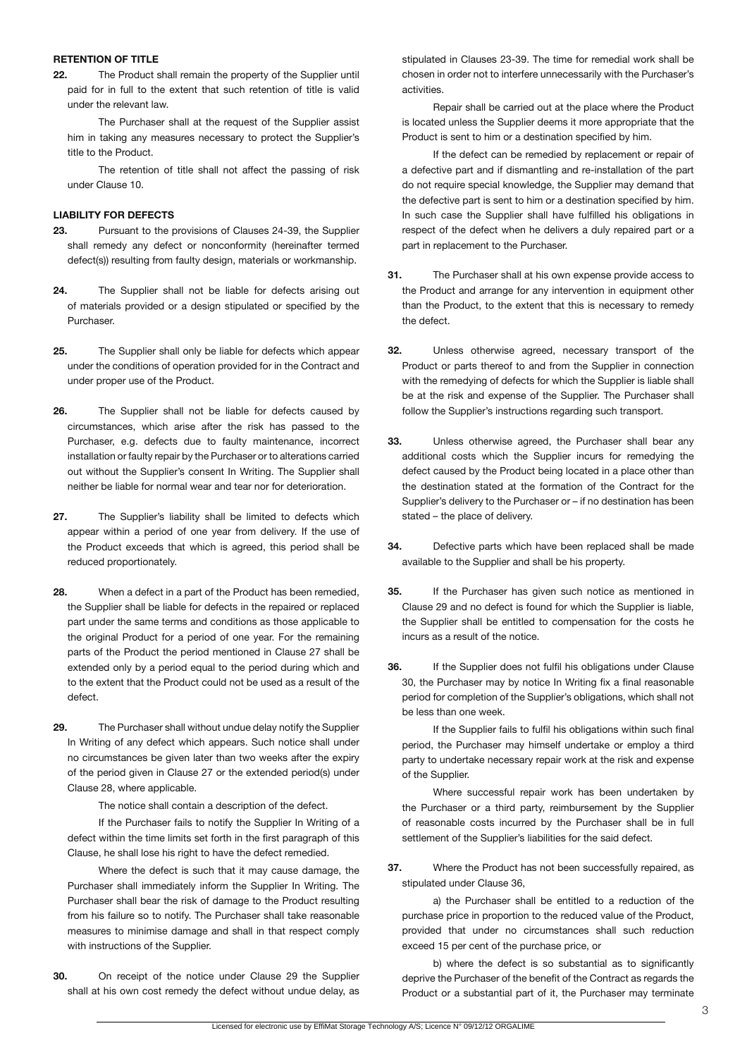#### **RETENTION OF TITLE**

**22.** The Product shall remain the property of the Supplier until paid for in full to the extent that such retention of title is valid under the relevant law.

 The Purchaser shall at the request of the Supplier assist him in taking any measures necessary to protect the Supplier's title to the Product.

 The retention of title shall not affect the passing of risk under Clause 10.

## **LIABILITY FOR DEFECTS**

- **23.** Pursuant to the provisions of Clauses 24-39, the Supplier shall remedy any defect or nonconformity (hereinafter termed defect(s)) resulting from faulty design, materials or workmanship.
- **24.** The Supplier shall not be liable for defects arising out of materials provided or a design stipulated or specified by the Purchaser.
- **25.** The Supplier shall only be liable for defects which appear under the conditions of operation provided for in the Contract and under proper use of the Product.
- **26.** The Supplier shall not be liable for defects caused by circumstances, which arise after the risk has passed to the Purchaser, e.g. defects due to faulty maintenance, incorrect installation or faulty repair by the Purchaser or to alterations carried out without the Supplier's consent In Writing. The Supplier shall neither be liable for normal wear and tear nor for deterioration.
- **27.** The Supplier's liability shall be limited to defects which appear within a period of one year from delivery. If the use of the Product exceeds that which is agreed, this period shall be reduced proportionately.
- **28.** When a defect in a part of the Product has been remedied, the Supplier shall be liable for defects in the repaired or replaced part under the same terms and conditions as those applicable to the original Product for a period of one year. For the remaining parts of the Product the period mentioned in Clause 27 shall be extended only by a period equal to the period during which and to the extent that the Product could not be used as a result of the defect.
- **29.** The Purchaser shall without undue delay notify the Supplier In Writing of any defect which appears. Such notice shall under no circumstances be given later than two weeks after the expiry of the period given in Clause 27 or the extended period(s) under Clause 28, where applicable.

 The notice shall contain a description of the defect.

 If the Purchaser fails to notify the Supplier In Writing of a defect within the time limits set forth in the first paragraph of this Clause, he shall lose his right to have the defect remedied.

 Where the defect is such that it may cause damage, the Purchaser shall immediately inform the Supplier In Writing. The Purchaser shall bear the risk of damage to the Product resulting from his failure so to notify. The Purchaser shall take reasonable measures to minimise damage and shall in that respect comply with instructions of the Supplier.

**30.** On receipt of the notice under Clause 29 the Supplier shall at his own cost remedy the defect without undue delay, as

stipulated in Clauses 23-39. The time for remedial work shall be chosen in order not to interfere unnecessarily with the Purchaser's activities.

 Repair shall be carried out at the place where the Product is located unless the Supplier deems it more appropriate that the Product is sent to him or a destination specified by him.

 If the defect can be remedied by replacement or repair of a defective part and if dismantling and re-installation of the part do not require special knowledge, the Supplier may demand that the defective part is sent to him or a destination specified by him. In such case the Supplier shall have fulfilled his obligations in respect of the defect when he delivers a duly repaired part or a part in replacement to the Purchaser.

- **31.** The Purchaser shall at his own expense provide access to the Product and arrange for any intervention in equipment other than the Product, to the extent that this is necessary to remedy the defect.
- **32.** Unless otherwise agreed, necessary transport of the Product or parts thereof to and from the Supplier in connection with the remedying of defects for which the Supplier is liable shall be at the risk and expense of the Supplier. The Purchaser shall follow the Supplier's instructions regarding such transport.
- **33.** Unless otherwise agreed, the Purchaser shall bear any additional costs which the Supplier incurs for remedying the defect caused by the Product being located in a place other than the destination stated at the formation of the Contract for the Supplier's delivery to the Purchaser or – if no destination has been stated – the place of delivery.
- **34.** Defective parts which have been replaced shall be made available to the Supplier and shall be his property.
- **35.** If the Purchaser has given such notice as mentioned in Clause 29 and no defect is found for which the Supplier is liable, the Supplier shall be entitled to compensation for the costs he incurs as a result of the notice.
- **36.** If the Supplier does not fulfil his obligations under Clause 30, the Purchaser may by notice In Writing fix a final reasonable period for completion of the Supplier's obligations, which shall not be less than one week.

 If the Supplier fails to fulfil his obligations within such final period, the Purchaser may himself undertake or employ a third party to undertake necessary repair work at the risk and expense of the Supplier.

 Where successful repair work has been undertaken by the Purchaser or a third party, reimbursement by the Supplier of reasonable costs incurred by the Purchaser shall be in full settlement of the Supplier's liabilities for the said defect.

**37.** Where the Product has not been successfully repaired, as stipulated under Clause 36,

 a) the Purchaser shall be entitled to a reduction of the purchase price in proportion to the reduced value of the Product, provided that under no circumstances shall such reduction exceed 15 per cent of the purchase price, or

b) where the defect is so substantial as to significantly deprive the Purchaser of the benefit of the Contract as regards the Product or a substantial part of it, the Purchaser may terminate